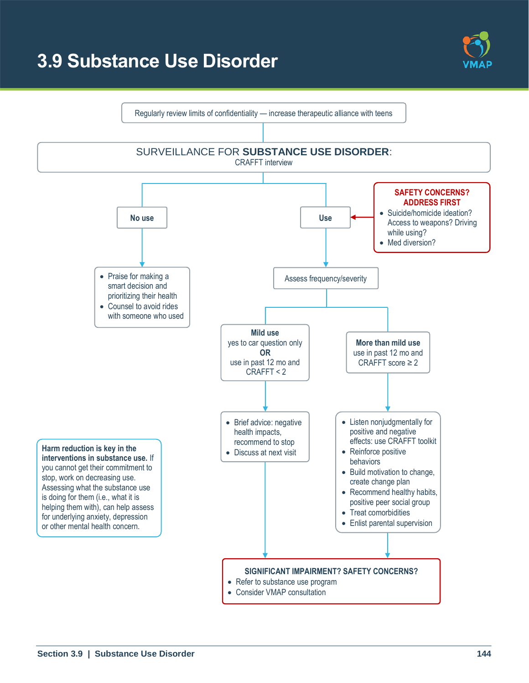# **3.9 Substance Use Disorder**



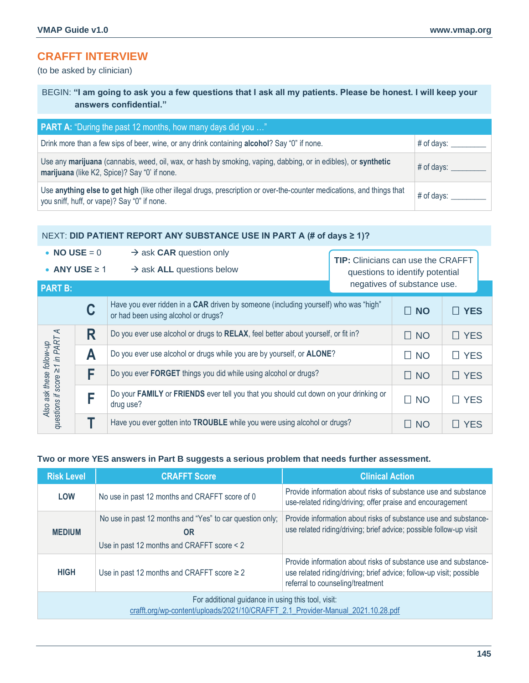## **CRAFFT INTERVIEW**

(to be asked by clinician)

BEGIN: **"I am going to ask you a few questions that I ask all my patients. Please be honest. I will keep your answers confidential."**

| <b>PART A:</b> "During the past 12 months, how many days did you "                                                                                                    |                      |
|-----------------------------------------------------------------------------------------------------------------------------------------------------------------------|----------------------|
| Drink more than a few sips of beer, wine, or any drink containing <b>alcohol</b> ? Say "0" if none.                                                                   | $\#$ of days: $\_\_$ |
| Use any marijuana (cannabis, weed, oil, wax, or hash by smoking, vaping, dabbing, or in edibles), or synthetic<br>marijuana (like K2, Spice)? Say "0' if none.        | $\#$ of days: $\_\_$ |
| Use anything else to get high (like other illegal drugs, prescription or over-the-counter medications, and things that<br>you sniff, huff, or vape)? Say "0" if none. | $#$ of days: $\_\_$  |

#### NEXT: **DID PATIENT REPORT ANY SUBSTANCE USE IN PART A (# of days ≥ 1)?**

• **NO USE** =  $0 \rightarrow$  ask **CAR** question only **TIP:** Clinicians can use the CRAFFT • **ANY USE** ≥ 1 → ask **ALL** questions below questions to identify potential negatives of substance use.**PART B:** Have you ever ridden in a **CAR** driven by someone (including yourself) who was "high" or had been using alcohol or drugs? **NO YES C** Also ask these follow-up<br>questions if score ≥1 in PART A **R** Do you ever use alcohol or drugs to **RELAX**, feel better about yourself, or fit in?  $\Box$  NO  $\Box$  YES *questions if score ≥1 in PART A Also ask these follow-up*   $\blacktriangle$   $\blacktriangleright$  Do you ever use alcohol or drugs while you are by yourself, or **ALONE**?  $\blacktriangleright$   $\Box$  NO  $\blacktriangleright$   $\Box$  YES  $\mathsf{F}$  Do you ever **FORGET** things you did while using alcohol or drugs?  $\Box$  NO  $\Box$  YES Do your FAMILY or FRIENDS ever tell you that you should cut down on your drinking or │ □ NO │ □ YES<br>drug use? **F T** Have you ever gotten into **TROUBLE** while you were using alcohol or drugs?  $\Box$  NO  $\Box$  YES

#### **Two or more YES answers in Part B suggests a serious problem that needs further assessment.**

| <b>Risk Level</b>                                                                                                                     | <b>CRAFFT Score</b>                                                                                          | <b>Clinical Action</b>                                                                                                                                                     |  |
|---------------------------------------------------------------------------------------------------------------------------------------|--------------------------------------------------------------------------------------------------------------|----------------------------------------------------------------------------------------------------------------------------------------------------------------------------|--|
| <b>LOW</b>                                                                                                                            | No use in past 12 months and CRAFFT score of 0                                                               | Provide information about risks of substance use and substance<br>use-related riding/driving; offer praise and encouragement                                               |  |
| <b>MEDIUM</b>                                                                                                                         | No use in past 12 months and "Yes" to car question only;<br>0R<br>Use in past 12 months and CRAFFT score < 2 | Provide information about risks of substance use and substance-<br>use related riding/driving; brief advice; possible follow-up visit                                      |  |
| <b>HIGH</b>                                                                                                                           | Use in past 12 months and CRAFFT score $\geq 2$                                                              | Provide information about risks of substance use and substance-<br>use related riding/driving; brief advice; follow-up visit; possible<br>referral to counseling/treatment |  |
| For additional guidance in using this tool, visit:<br>crafft.org/wp-content/uploads/2021/10/CRAFFT 2.1 Provider-Manual 2021.10.28.pdf |                                                                                                              |                                                                                                                                                                            |  |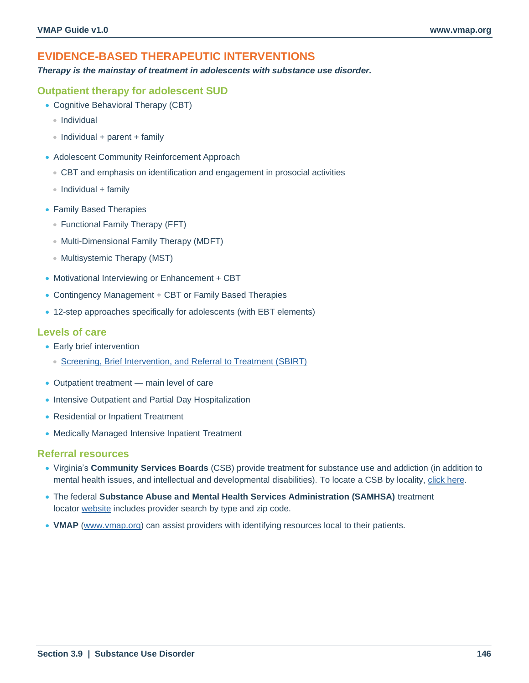## **EVIDENCE-BASED THERAPEUTIC INTERVENTIONS**

*Therapy is the mainstay of treatment in adolescents with substance use disorder.*

### **Outpatient therapy for adolescent SUD**

- Cognitive Behavioral Therapy (CBT)
	- Individual
	- Individual + parent + family
- Adolescent Community Reinforcement Approach
	- CBT and emphasis on identification and engagement in prosocial activities
	- $\bullet$  Individual + family
- Family Based Therapies
	- Functional Family Therapy (FFT)
	- Multi-Dimensional Family Therapy (MDFT)
	- Multisystemic Therapy (MST)
- Motivational Interviewing or Enhancement + CBT
- Contingency Management + CBT or Family Based Therapies
- 12-step approaches specifically for adolescents (with EBT elements)

## **Levels of care**

- Early brief intervention
	- [Screening, Brief Intervention, and Referral to Treatment \(SBIRT\)](https://www.sbirt.care/tools.aspx)
- Outpatient treatment main level of care
- Intensive Outpatient and Partial Day Hospitalization
- Residential or Inpatient Treatment
- Medically Managed Intensive Inpatient Treatment

#### **Referral resources**

- Virginia's **Community Services Boards** (CSB) provide treatment for substance use and addiction (in addition to mental health issues, and intellectual and developmental disabilities). To locate a CSB by locality, [click here.](https://dbhds.virginia.gov/community-services-boards-csbs)
- The federal **Substance Abuse and Mental Health Services Administration (SAMHSA)** treatment locator [website](https://findtreatment.samhsa.gov/) includes provider search by type and zip code.
- **VMAP** [\(www.vmap.org\)](http://www.vmap.org/) can assist providers with identifying resources local to their patients.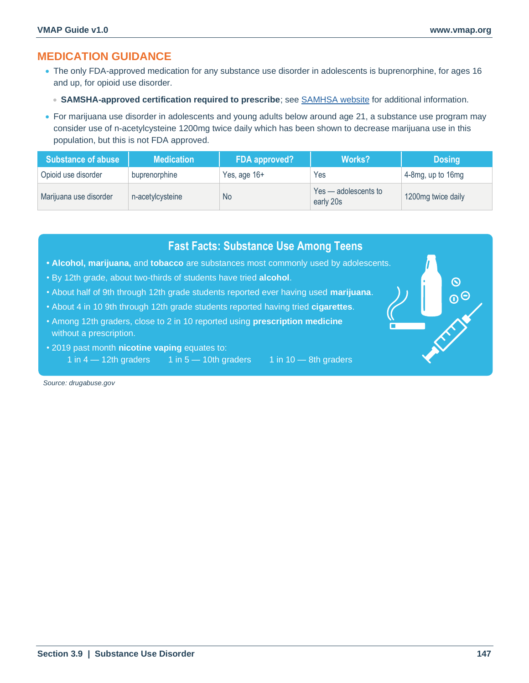## **MEDICATION GUIDANCE**

- The only FDA-approved medication for any substance use disorder in adolescents is buprenorphine, for ages 16 and up, for opioid use disorder.
	- **SAMSHA-approved certification required to prescribe**; see [SAMHSA website](https://www.samhsa.gov/medication-assisted-treatment/medications-counseling-related-conditions/buprenorphine) for additional information.
- For marijuana use disorder in adolescents and young adults below around age 21, a substance use program may consider use of n-acetylcysteine 1200mg twice daily which has been shown to decrease marijuana use in this population, but this is not FDA approved.

| <b>Substance of abuse</b> | <b>Medication</b> | FDA approved? | <b>Works?</b>                     | <b>Dosing</b>      |
|---------------------------|-------------------|---------------|-----------------------------------|--------------------|
| Opioid use disorder       | buprenorphine     | Yes, age 16+  | Yes                               | 4-8mg, up to 16mg  |
| Marijuana use disorder    | n-acetylcysteine  | <b>No</b>     | Yes - adolescents to<br>early 20s | 1200mg twice daily |

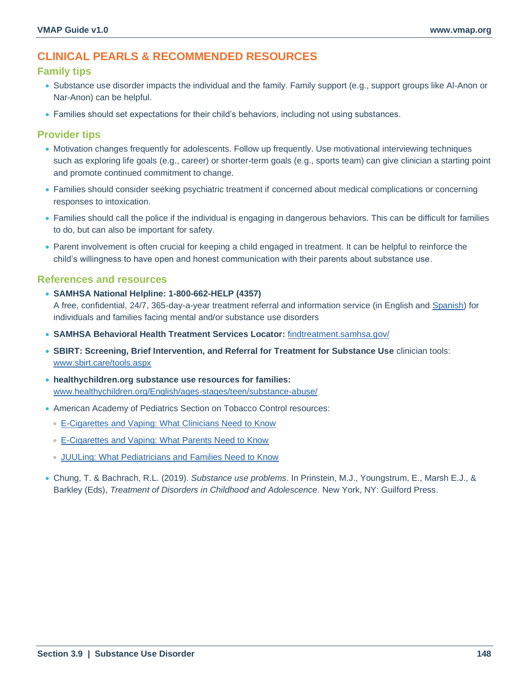## **CLINICAL PEARLS & RECOMMENDED RESOURCES**

## **Family tips**

- Substance use disorder impacts the individual and the family. Family support (e.g., support groups like Al-Anon or Nar-Anon) can be helpful.
- Families should set expectations for their child's behaviors, including not using substances.

## **Provider tips**

- Motivation changes frequently for adolescents. Follow up frequently. Use motivational interviewing techniques such as exploring life goals (e.g., career) or shorter-term goals (e.g., sports team) can give clinician a starting point and promote continued commitment to change.
- Families should consider seeking psychiatric treatment if concerned about medical complications or concerning responses to intoxication.
- Families should call the police if the individual is engaging in dangerous behaviors. This can be difficult for families to do, but can also be important for safety.
- Parent involvement is often crucial for keeping a child engaged in treatment. It can be helpful to reinforce the child's willingness to have open and honest communication with their parents about substance use.

## **References and resources**

• **SAMHSA National Helpline: 1-800-662-HELP (4357)**

A free, confidential, 24/7, 365-day-a-year treatment referral and information service (in English and [Spanish\)](https://www.samhsa.gov/node/1127287) for individuals and families facing mental and/or substance use disorders

- **SAMHSA Behavioral Health Treatment Services Locator:** [findtreatment.samhsa.gov/](https://findtreatment.samhsa.gov/)
- **SBIRT: Screening, Brief Intervention, and Referral for Treatment for Substance Use** clinician tools: [www.sbirt.care/tools.aspx](https://www.sbirt.care/tools.aspx)
- **healthychildren.org substance use resources for families:** [www.healthychildren.org/English/ages-stages/teen/substance-abuse/](http://www.healthychildren.org/English/ages-stages/teen/substance-abuse/Pages/default.aspx)
- American Academy of Pediatrics Section on Tobacco Control resources:
	- [E-Cigarettes and Vaping: What Clinicians Need to Know](https://downloads.aap.org/RCE/ENDShandout_Clinicians.pdf)
	- [E-Cigarettes and Vaping: What Parents Need to Know](https://downloads.aap.org/RCE/ENDShandout_Parents.pdf)
	- [JUULing: What Pediatricians and](https://www.mtpeds.org/site/wp-content/uploads/2019/10/AAP-JUUL-Factsheet-1.pdf) Families Need to Know
- Chung, T. & Bachrach, R.L. (2019). *Substance use problems*. In Prinstein, M.J., Youngstrum, E., Marsh E.J., & Barkley (Eds), *Treatment of Disorders in Childhood and Adolescence*. New York, NY: Guilford Press.